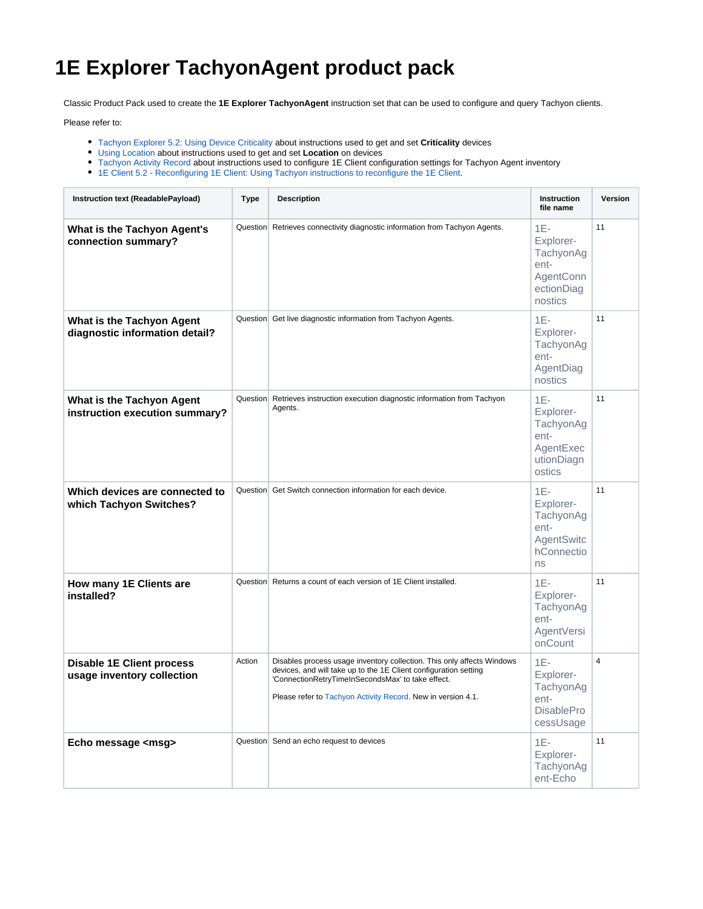## **1E Explorer TachyonAgent product pack**

Classic Product Pack used to create the **1E Explorer TachyonAgent** instruction set that can be used to configure and query Tachyon clients.

Please refer to:

- [Tachyon Explorer 5.2: Using Device Criticality](https://help.1e.com/display/XPL52/Using+Device+Criticality) about instructions used to get and set **Criticality** devices
- [Using Location](https://help.1e.com/display/XPL52/Using+Location) about instructions used to get and set **Location** on devices
- [Tachyon Activity Record](https://help.1e.com/display/XPL52/Tachyon+Activity+Record) about instructions used to configure 1E Client configuration settings for Tachyon Agent inventory
- [1E Client 5.2 Reconfiguring 1E Client: Using Tachyon instructions to reconfigure the 1E Client](https://help.1e.com/display/1EC52/Reconfiguring+1E+Client#Reconfiguring1EClient-UsingTachyoninstructionstoreconfigurethe1EClient).

| Instruction text (ReadablePayload)                             | <b>Type</b> | <b>Description</b>                                                                                                                                                                                                                                              | <b>Instruction</b><br>file name                                               | Version        |
|----------------------------------------------------------------|-------------|-----------------------------------------------------------------------------------------------------------------------------------------------------------------------------------------------------------------------------------------------------------------|-------------------------------------------------------------------------------|----------------|
| What is the Tachyon Agent's<br>connection summary?             |             | Question Retrieves connectivity diagnostic information from Tachyon Agents.                                                                                                                                                                                     | $1E-$<br>Explorer-<br>TachyonAg<br>ent-<br>AgentConn<br>ectionDiag<br>nostics | 11             |
| What is the Tachyon Agent<br>diagnostic information detail?    |             | Question Get live diagnostic information from Tachyon Agents.                                                                                                                                                                                                   | $1E-$<br>Explorer-<br>TachyonAg<br>ent-<br>AgentDiag<br>nostics               | 11             |
| What is the Tachyon Agent<br>instruction execution summary?    |             | Question Retrieves instruction execution diagnostic information from Tachyon<br>Agents.                                                                                                                                                                         | $1E-$<br>Explorer-<br>TachyonAg<br>ent-<br>AgentExec<br>utionDiagn<br>ostics  | 11             |
| Which devices are connected to<br>which Tachyon Switches?      |             | Question Get Switch connection information for each device.                                                                                                                                                                                                     | $1E-$<br>Explorer-<br>TachyonAg<br>ent-<br>AgentSwitc<br>hConnectio<br>ns     | 11             |
| How many 1E Clients are<br>installed?                          |             | Question Returns a count of each version of 1E Client installed.                                                                                                                                                                                                | $1E-$<br>Explorer-<br>TachyonAg<br>ent-<br>AgentVersi<br>onCount              | 11             |
| <b>Disable 1E Client process</b><br>usage inventory collection | Action      | Disables process usage inventory collection. This only affects Windows<br>devices, and will take up to the 1E Client configuration setting<br>'ConnectionRetryTimeInSecondsMax' to take effect.<br>Please refer to Tachyon Activity Record. New in version 4.1. | $1E-$<br>Explorer-<br>TachyonAg<br>ent-<br><b>DisablePro</b><br>cessUsage     | $\overline{4}$ |
| Echo message <msg></msg>                                       |             | Question Send an echo request to devices                                                                                                                                                                                                                        | $1E-$<br>Explorer-<br>TachyonAg<br>ent-Echo                                   | 11             |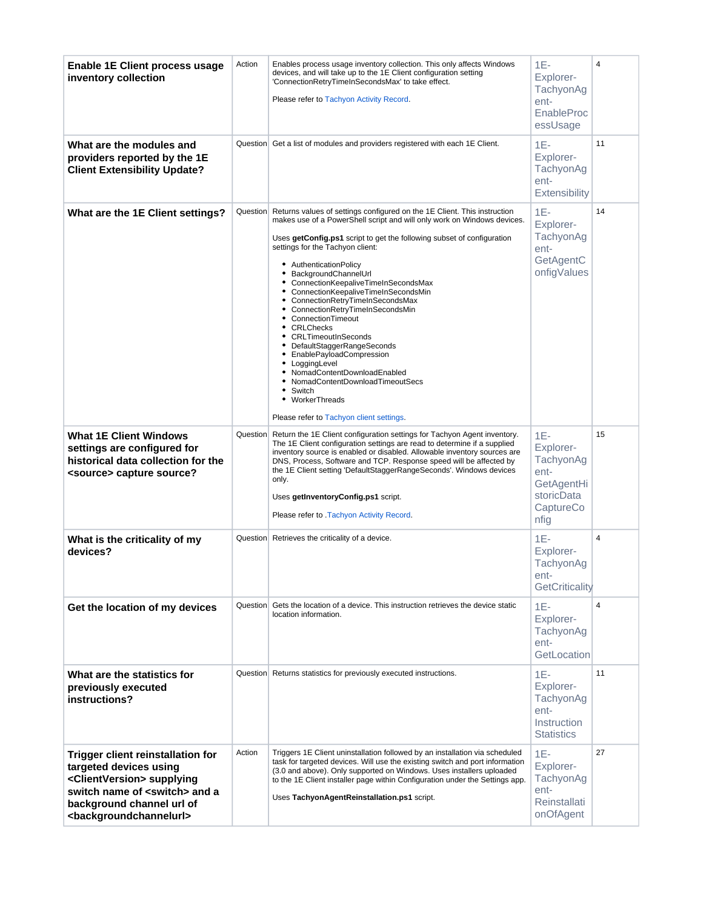<span id="page-1-0"></span>

| <b>Enable 1E Client process usage</b><br>inventory collection                                                                                                                                                                              | Action   | Enables process usage inventory collection. This only affects Windows<br>devices, and will take up to the 1E Client configuration setting<br>'ConnectionRetryTimeInSecondsMax' to take effect.<br>Please refer to Tachyon Activity Record.                                                                                                                                                                                                                                                                                                                                                                                                                                                                                                                                                         | $1E -$<br>Explorer-<br>TachyonAg<br>ent-<br>EnableProc<br>essUsage                       | $\overline{4}$ |
|--------------------------------------------------------------------------------------------------------------------------------------------------------------------------------------------------------------------------------------------|----------|----------------------------------------------------------------------------------------------------------------------------------------------------------------------------------------------------------------------------------------------------------------------------------------------------------------------------------------------------------------------------------------------------------------------------------------------------------------------------------------------------------------------------------------------------------------------------------------------------------------------------------------------------------------------------------------------------------------------------------------------------------------------------------------------------|------------------------------------------------------------------------------------------|----------------|
| What are the modules and<br>providers reported by the 1E<br><b>Client Extensibility Update?</b>                                                                                                                                            |          | Question Get a list of modules and providers registered with each 1E Client.                                                                                                                                                                                                                                                                                                                                                                                                                                                                                                                                                                                                                                                                                                                       | $1E -$<br>Explorer-<br>TachyonAg<br>ent-<br>Extensibility                                | 11             |
| What are the 1E Client settings?                                                                                                                                                                                                           |          | Question Returns values of settings configured on the 1E Client. This instruction<br>makes use of a PowerShell script and will only work on Windows devices.<br>Uses getConfig.ps1 script to get the following subset of configuration<br>settings for the Tachyon client:<br>• AuthenticationPolicy<br>• BackgroundChannelUrl<br>• ConnectionKeepaliveTimeInSecondsMax<br>• ConnectionKeepaliveTimeInSecondsMin<br>• ConnectionRetryTimeInSecondsMax<br>• ConnectionRetryTimeInSecondsMin<br>• ConnectionTimeout<br>• CRLChecks<br>• CRLTimeoutInSeconds<br>• DefaultStaggerRangeSeconds<br>EnablePayloadCompression<br>٠<br>LoggingLevel<br>٠<br>NomadContentDownloadEnabled<br>NomadContentDownloadTimeoutSecs<br>٠<br>Switch<br>٠<br>WorkerThreads<br>Please refer to Tachyon client settings. | $1E -$<br>Explorer-<br>TachyonAg<br>ent-<br>GetAgentC<br>onfigValues                     | 14             |
| <b>What 1E Client Windows</b><br>settings are configured for<br>historical data collection for the<br><source/> capture source?                                                                                                            | Question | Return the 1E Client configuration settings for Tachyon Agent inventory.<br>The 1E Client configuration settings are read to determine if a supplied<br>inventory source is enabled or disabled. Allowable inventory sources are<br>DNS, Process, Software and TCP. Response speed will be affected by<br>the 1E Client setting 'DefaultStaggerRangeSeconds'. Windows devices<br>only.<br>Uses getInventoryConfig.ps1 script.<br>Please refer to Tachyon Activity Record.                                                                                                                                                                                                                                                                                                                          | $1E-$<br>Explorer-<br>TachyonAg<br>ent-<br>GetAgentHi<br>storicData<br>CaptureCo<br>nfig | 15             |
| What is the criticality of my<br>devices?                                                                                                                                                                                                  | Question | Retrieves the criticality of a device.                                                                                                                                                                                                                                                                                                                                                                                                                                                                                                                                                                                                                                                                                                                                                             | $1E-$<br>Explorer-<br>TachyonAg<br>ent-<br>GetCriticality                                | 4              |
| Get the location of my devices                                                                                                                                                                                                             | Question | Gets the location of a device. This instruction retrieves the device static<br>location information.                                                                                                                                                                                                                                                                                                                                                                                                                                                                                                                                                                                                                                                                                               | $1E -$<br>Explorer-<br>TachyonAg<br>ent-<br>GetLocation                                  | $\overline{4}$ |
| What are the statistics for<br>previously executed<br>instructions?                                                                                                                                                                        |          | Question Returns statistics for previously executed instructions.                                                                                                                                                                                                                                                                                                                                                                                                                                                                                                                                                                                                                                                                                                                                  | $1E-$<br>Explorer-<br>TachyonAg<br>ent-<br>Instruction<br><b>Statistics</b>              | 11             |
| <b>Trigger client reinstallation for</b><br>targeted devices using<br><clientversion> supplying<br/>switch name of <switch> and a<br/>background channel url of<br/><backgroundchannelurl></backgroundchannelurl></switch></clientversion> | Action   | Triggers 1E Client uninstallation followed by an installation via scheduled<br>task for targeted devices. Will use the existing switch and port information<br>(3.0 and above). Only supported on Windows. Uses installers uploaded<br>to the 1E Client installer page within Configuration under the Settings app.<br>Uses TachyonAgentReinstallation.ps1 script.                                                                                                                                                                                                                                                                                                                                                                                                                                 | $1E -$<br>Explorer-<br>TachyonAg<br>ent-<br>Reinstallati<br>onOfAgent                    | 27             |